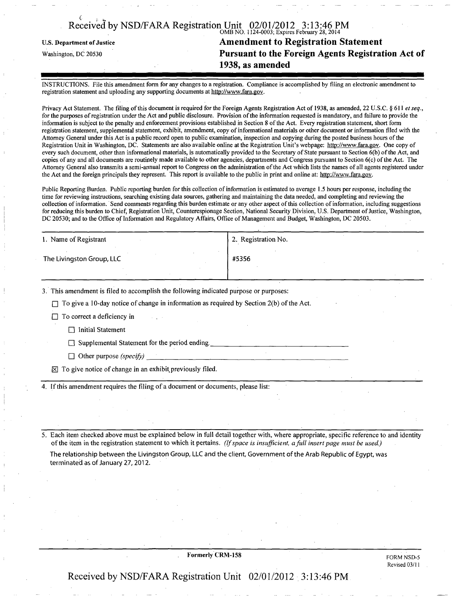## Received by NSD/FARA Registration Unit 02/01/2012 3:13:46 PM OMB NO. 1124-0003; Expires February 28,2014

## u.s. Department of justice Amendment to Registration Statement Washington, DC 20530 Pursuant to the Foreign Agents Registration Act of 1938, as amended

INSTRUCTIONS. File this amendment form for any changes to a registration. Compliance is accomplished by filing an electronic amendment to registration statement and uploading any supporting documents at [http://www.fara.gov.](http://www.fara.gov)

Privacy Act Statement. The filing of this document is required for the Foreign Agents Registration Act of 1938, as amended, 22 U.S.C. § 611 et seq., for the purposes of registration under the Act and public disclosure. Provision of the information requested is mandatory, and failure to provide the information is subject to the penalty and enforcement provisions established in Section 8 ofthe Act. Every registration statement, short form registration statement, supplemental statement, exhibit, amendment, copy of informational materials or other document or information filed with the Attorney General under this Act is a public record open to public examination, inspection and copying during the posted business hours ofthe Registration Unit in Washington, DC. Statements are also available online at the Registration Unit's webpage: [http://www.fara.gov.](http://www.fara.gov) One copy of every such document, other than informational materials, is automatically provided to the Secretary of State pursuant to Section 6(b) of the Act, and copies ofany and all documents are routinely made available to other agencies, departments and Congress pursuant to Section 6(c) ofthe Act. The Attorney General also transmits a semi-annual report to Congress on the administration of the Act which lists the names of all agents registered under the Act and the foreign principals they represent. This report is available to the public in print and online at: [http://www.fara.gov.](http://www.fara.gov)

Public Reporting Burden. Public reporting burden for this collection of information is estimated to average 1.5 hours per response, including the time for reviewing instructions, searching existing data sources, gathering and maintaining the data needed, and completing and reviewing the collection of information. Send comments regarding this burden estimate or any other aspect of this collection of information, including suggestions for reducing this burden to Chief, Registration Unit, Counterespionage Section, National Security Division, U.S. Department of Justice, Washington, DC 20530; and to the Office of Information and Regulatory Affairs, Office of Management and Budget, Washington, DC 20503.

| 1. Name of Registrant     | <sup>1</sup> 2. Registration No. |
|---------------------------|----------------------------------|
| The Livingston Group, LLC | #5356                            |
|                           |                                  |

3. This amendment is filed to accomplish the following indicated purpose or purposes:

 $\Box$  To give a 10-day notice of change in information as required by Section 2(b) of the Act.

 $\Box$  To correct a deficiency in

 $\Box$  Initial Statement

 $\Box$  Supplemental Statement for the period ending.

 $\Box$  Other purpose (specify)

 $\boxtimes$  To give notice of change in an exhibit previously filed.

4. If this amendment requires the filing of a document or documents, please list:

5. Each item checked above must be explained below in full detail together with, where appropriate, specific reference to and identity of the item in the registration statement to which it pertains. (If space is insufficient, a full insert page must be used.)

The relationship between the Livingston Group, LLC and the client, Government ofthe Arab Republic of Egypt, was terminated as of January 27,2012.

Formerly CRM-158 FORM NSD-5

Revised 03/11

Received by NSD/FARA Registration Unit 02/01/2012 3:13:46 PM